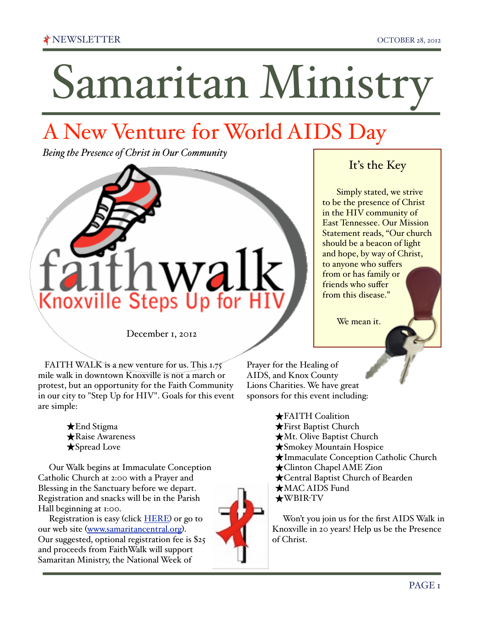# Samaritan Ministry

## A New Venture for World AIDS Day

*Being the Presence of Christ in Our Community*



December 1, 2012

FAITH WALK is a new venture for us. This 1.75 mile walk in downtown Knoxville is not a march or protest, but an opportunity for the Faith Community in our city to "Step Up for HIV". Goals for this event are simple:

> ★End Stigma ★Raise Awareness ★Spread Love

 Our Walk begins at Immaculate Conception Catholic Church at 2:00 with a Prayer and Blessing in the Sanctuary before we depart. Registration and snacks will be in the Parish Hall beginning at 1:00.

 Registration is easy (click [HERE](https://www.raceit.com/register/?event=15293)) or go to our web site ([www.samaritancentral.org](http://www.samaritancentral.org)). Our suggested, optional registration fee is \$25 and proceeds from FaithWalk will support Samaritan Ministry, the National Week of



It's the Key

Simply stated, we strive to be the presence of Christ in the HIV community of East Tennessee. Our Mission Statement reads, "Our church should be a beacon of light and hope, by way of Christ, to anyone who suffers from or has family or friends who suffer from this disease."

We mean it.

Prayer for the Healing of AIDS, and Knox County Lions Charities. We have great sponsors for this event including:

> ★FAITH Coalition ★First Baptist Church ★Mt. Olive Baptist Church ★Smokey Mountain Hospice ★Immaculate Conception Catholic Church ★Clinton Chapel AME Zion ★Central Baptist Church of Bearden ★MAC AIDS Fund ★WBIR-TV

 Won't you join us for the first AIDS Walk in Knoxville in 20 years! Help us be the Presence of Christ.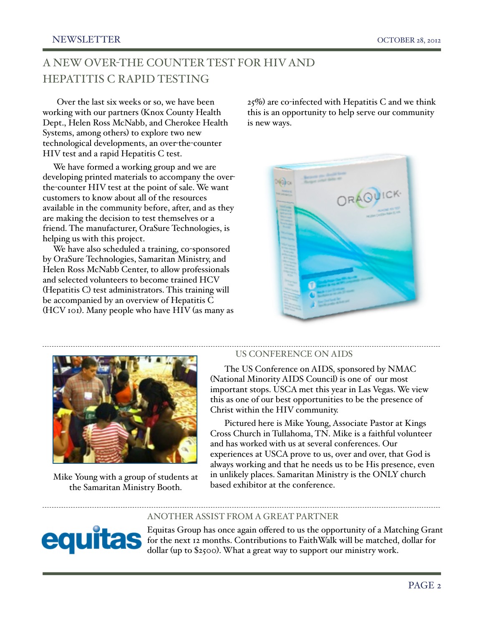## A NEW OVER-THE COUNTER TEST FOR HIV AND HEPATITIS C RAPID TESTING

Over the last six weeks or so, we have been working with our partners (Knox County Health Dept., Helen Ross McNabb, and Cherokee Health Systems, among others) to explore two new technological developments, an over-the-counter HIV test and a rapid Hepatitis C test.

 We have formed a working group and we are developing printed materials to accompany the overthe-counter HIV test at the point of sale. We want customers to know about all of the resources available in the community before, after, and as they are making the decision to test themselves or a friend. The manufacturer, OraSure Technologies, is helping us with this project.

 We have also scheduled a training, co-sponsored by OraSure Technologies, Samaritan Ministry, and Helen Ross McNabb Center, to allow professionals and selected volunteers to become trained HCV (Hepatitis C) test administrators. This training will be accompanied by an overview of Hepatitis C (HCV 101). Many people who have HIV (as many as  $25\%$ ) are co-infected with Hepatitis C and we think this is an opportunity to help serve our community is new ways.





Mike Young with a group of students at the Samaritan Ministry Booth.

equita

#### US CONFERENCE ON AIDS

The US Conference on AIDS, sponsored by NMAC (National Minority AIDS Council) is one of our most important stops. USCA met this year in Las Vegas. We view this as one of our best opportunities to be the presence of Christ within the HIV community.

Pictured here is Mike Young, Associate Pastor at Kings Cross Church in Tullahoma, TN. Mike is a faithful volunteer and has worked with us at several conferences. Our experiences at USCA prove to us, over and over, that God is always working and that he needs us to be His presence, even in unlikely places. Samaritan Ministry is the ONLY church based exhibitor at the conference.

#### ANOTHER ASSIST FROM A GREAT PARTNER

Equitas Group has once again offered to us the opportunity of a Matching Grant for the next 12 months. Contributions to FaithWalk will be matched, dollar for dollar (up to \$2500). What a great way to support our ministry work.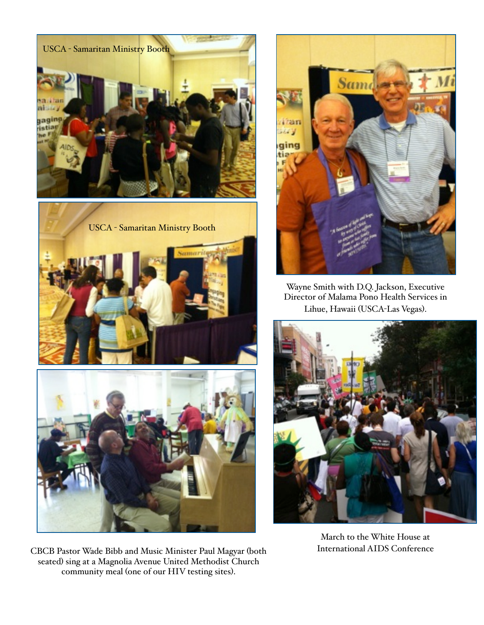





CBCB Pastor Wade Bibb and Music Minister Paul Magyar (both seated) sing at a Magnolia Avenue United Methodist Church community meal (one of our HIV testing sites).



Wayne Smith with D.Q. Jackson, Executive Director of Malama Pono Health Services in Lihue, Hawaii (USCA-Las Vegas).



March to the White House at International AIDS Conference